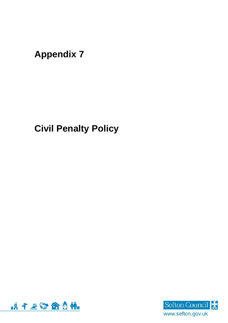**Appendix 7**

**Civil Penalty Policy**



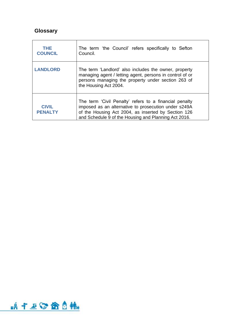# **Glossary**

| <b>THE</b><br><b>COUNCIL</b>   | The term 'the Council' refers specifically to Sefton<br>Council.                                                                                                                                                              |  |
|--------------------------------|-------------------------------------------------------------------------------------------------------------------------------------------------------------------------------------------------------------------------------|--|
| <b>LANDLORD</b>                | The term 'Landlord' also includes the owner, property<br>managing agent / letting agent, persons in control of or<br>persons managing the property under section 263 of<br>the Housing Act 2004.                              |  |
| <b>CIVIL</b><br><b>PENALTY</b> | The term 'Civil Penalty' refers to a financial penalty<br>imposed as an alternative to prosecution under s249A<br>of the Housing Act 2004, as inserted by Section 126<br>and Schedule 9 of the Housing and Planning Act 2016. |  |

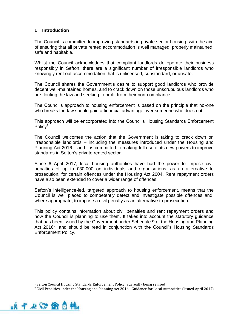## **1 Introduction**

The Council is committed to improving standards in private sector housing, with the aim of ensuring that all private rented accommodation is well managed, properly maintained, safe and habitable.

Whilst the Council acknowledges that compliant landlords do operate their business responsibly in Sefton, there are a significant number of irresponsible landlords who knowingly rent out accommodation that is unlicensed, substandard, or unsafe.

The Council shares the Government's desire to support good landlords who provide decent well-maintained homes, and to crack down on those unscrupulous landlords who are flouting the law and seeking to profit from their non-compliance.

The Council's approach to housing enforcement is based on the principle that no-one who breaks the law should gain a financial advantage over someone who does not.

This approach will be encorporated into the Council's Housing Standards Enforcement Policy<sup>1</sup>.

The Council welcomes the action that the Government is taking to crack down on irresponsible landlords – including the measures introduced under the Housing and Planning Act 2016 – and it is committed to making full use of its new powers to improve standards in Sefton's private rented sector.

Since 6 April 2017, local housing authorities have had the power to impose civil penalties of up to £30,000 on individuals and organisations, as an alternative to prosecution, for certain offences under the Housing Act 2004. Rent repayment orders have also been extended to cover a wider range of offences.

Sefton's intelligence-led, targeted approach to housing enforcement, means that the Council is well placed to competently detect and investigate possible offences and, where appropriate, to impose a civil penalty as an alternative to prosecution.

This policy contains information about civil penalties and rent repayment orders and how the Council is planning to use them. It takes into account the statutory guidance that has been issued by the Government under Schedule 9 of the Housing and Planning Act 2016<sup>2</sup>, and should be read in conjunction with the Council's Housing Standards Enforcement Policy.

<sup>2</sup> Civil Penalties under the Housing and Planning Act 2016 - Guidance for Local Authorities (issued April 2017)



<sup>&</sup>lt;sup>1</sup> Sefton Council Housing Standards Enforcement Policy (currently being revised)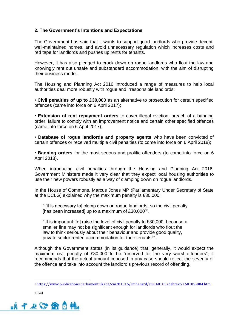## **2. The Government's Intentions and Expectations**

The Government has said that it wants to support good landlords who provide decent, well-maintained homes, and avoid unnecessary regulation which increases costs and red tape for landlords and pushes up rents for tenants.

However, it has also pledged to crack down on rogue landlords who flout the law and knowingly rent out unsafe and substandard accommodation, with the aim of disrupting their business model.

The Housing and Planning Act 2016 introduced a range of measures to help local authorities deal more robustly with rogue and irresponsible landlords:

• **Civil penalties of up to £30,000** as an alternative to prosecution for certain specified offences (came into force on 6 April 2017);

• **Extension of rent repayment orders** to cover illegal eviction, breach of a banning order, failure to comply with an improvement notice and certain other specified offences (came into force on 6 April 2017);

• **Database of rogue landlords and property agents** who have been convicted of certain offences or received multiple civil penalties (to come into force on 6 April 2018);

• **Banning orders** for the most serious and prolific offenders (to come into force on 6 April 2018).

When introducing civil penalties through the Housing and Planning Act 2016, Government Ministers made it very clear that they expect local housing authorities to use their new powers robustly as a way of clamping down on rogue landlords.

In the House of Commons, Marcus Jones MP (Parliamentary Under Secretary of State at the DCLG) explained why the maximum penalty is £30,000:

" [it is necessary to] clamp down on rogue landlords, so the civil penalty [has been increased] up to a maximum of £30,000 $3"$ .

" It is important [to] raise the level of civil penalty to £30,000, because a smaller fine may not be significant enough for landlords who flout the law to think seriously about their behaviour and provide good quality, private sector rented accommodation for their tenants<sup>4</sup>".

Although the Government states (in its guidance) that, generally, it would expect the maximum civil penalty of £30,000 to be "reserved for the very worst offenders", it recommends that the actual amount imposed in any case should reflect the severity of the offence and take into account the landlord's previous record of offending.

<sup>4</sup> ibid



<sup>3</sup> <https://www.publications.parliament.uk/pa/cm201516/cmhansrd/cm160105/debtext/160105-004.htm>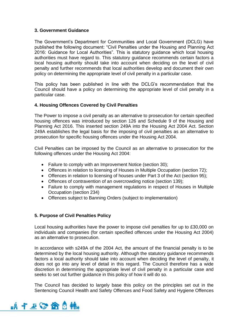## **3. Government Guidance**

The Government's Department for Communities and Local Government (DCLG) have published the following document: "Civil Penalties under the Housing and Planning Act 2016: Guidance for Local Authorities". This is statutory guidance which local housing authorities must have regard to. This statutory guidance recommends certain factors a local housing authority should take into account when deciding on the level of civil penalty and further recommends that local authorities develop and document their own policy on determining the appropriate level of civil penalty in a particular case.

This policy has been published in line with the DCLG's recommendation that the Council should have a policy on determining the appropriate level of civil penalty in a particular case.

## **4. Housing Offences Covered by Civil Penalties**

The Power to impose a civil penalty as an alternative to prosecution for certain specified housing offences was introduced by section 126 and Schedule 9 of the Housing and Planning Act 2016. This inserted section 249A into the Housing Act 2004 Act. Section 249A establishes the legal basis for the imposing of civil penalties as an alternative to prosecution for specific housing offences under the Housing Act 2004.

Civil Penalties can be imposed by the Council as an alternative to prosecution for the following offences under the Housing Act 2004:

- Failure to comply with an Improvement Notice (section 30);
- Offences in relation to licensing of Houses in Multiple Occupation (section 72);
- Offences in relation to licensing of houses under Part 3 of the Act (section 95);
- Offences of contravention of an overcrowding notice (section 139);
- Failure to comply with management regulations in respect of Houses in Multiple Occupation (section 234)
- Offences subject to Banning Orders (subject to implementation)

## **5. Purpose of Civil Penalties Policy**

Local housing authorities have the power to impose civil penalties for up to £30,000 on individuals and companies (for certain specified offences under the Housing Act 2004) as an alternative to prosecution.

In accordance with s249A of the 2004 Act, the amount of the financial penalty is to be determined by the local housing authority. Although the statutory guidance recommends factors a local authority should take into account when deciding the level of penalty, it does not go into any level of detail in this regard. The Council therefore has a wide discretion in determining the appropriate level of civil penalty in a particular case and seeks to set out further guidance in this policy of how it will do so.

The Council has decided to largely base this policy on the principles set out in the Sentencing Council Health and Safety Offences and Food Safety and Hygiene Offences

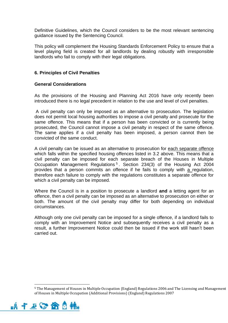Definitive Guidelines, which the Council considers to be the most relevant sentencing guidance issued by the Sentencing Council.

This policy will complement the Housing Standards Enforcement Policy to ensure that a level playing field is created for all landlords by dealing robustly with irresponsible landlords who fail to comply with their legal obligations.

#### **6. Principles of Civil Penalties**

## **General Considerations**

As the provisions of the Housing and Planning Act 2016 have only recently been introduced there is no legal precedent in relation to the use and level of civil penalties.

A civil penalty can only be imposed as an alternative to prosecution. The legislation does not permit local housing authorities to impose a civil penalty and prosecute for the same offence. This means that if a person has been convicted or is currently being prosecuted, the Council cannot impose a civil penalty in respect of the same offence. The same applies if a civil penalty has been imposed, a person cannot then be convicted of the same conduct.

A civil penalty can be issued as an alternative to prosecution for each separate offence which falls within the specified housing offences listed in 3.2 above. This means that a civil penalty can be imposed for each separate breach of the Houses in Multiple Occupation Management Regulations<sup>5</sup>. Section 234(3) of the Housing Act 2004 provides that a person commits an offence if he fails to comply with a regulation, therefore each failure to comply with the regulations constitutes a separate offence for which a civil penalty can be imposed.

Where the Council is in a position to prosecute a landlord **and** a letting agent for an offence, then a civil penalty can be imposed as an alternative to prosecution on either or both. The amount of the civil penalty may differ for both depending on individual circumstances.

Although only one civil penalty can be imposed for a single offence, if a landlord fails to comply with an Improvement Notice and subsequently receives a civil penalty as a result, a further Improvement Notice could then be issued if the work still hasn't been carried out.

<sup>5</sup> The Management of Houses in Multiple Occupation (England) Regulations 2006 and The Licensing and Management of Houses in Multiple Occupation (Additional Provisions) (England) Regulations 2007

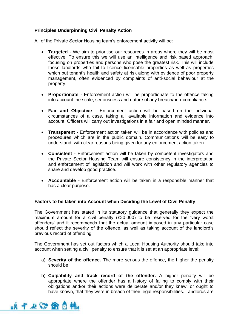# **Principles Underpinning Civil Penalty Action**

All of the Private Sector Housing team's enforcement activity will be:

- **Targeted**  We aim to prioritise our resources in areas where they will be most effective. To ensure this we will use an intelligence and risk based approach, focusing on properties and persons who pose the greatest risk. This will include those landlords who fail to licence licensable properties as well as properties which put tenant's health and safety at risk along with evidence of poor property management, often evidenced by complaints of anti-social behaviour at the property.
- **Proportionate**  Enforcement action will be proportionate to the offence taking into account the scale, seriousness and nature of any breach/non-compliance.
- **Fair and Objective**  Enforcement action will be based on the individual circumstances of a case, taking all available information and evidence into account. Officers will carry out investigations in a fair and open minded manner.
- **Transparent**  Enforcement action taken will be in accordance with policies and procedures which are in the public domain. Communications will be easy to understand, with clear reasons being given for any enforcement action taken.
- **Consistent**  Enforcement action will be taken by competent investigators and the Private Sector Housing Team will ensure consistency in the interpretation and enforcement of legislation and will work with other regulatory agencies to share and develop good practice.
- **Accountable**  Enforcement action will be taken in a responsible manner that has a clear purpose.

## **Factors to be taken into Account when Deciding the Level of Civil Penalty**

The Government has stated in its statutory guidance that generally they expect the maximum amount for a civil penalty (£30,000) to be reserved for the 'very worst offenders' and it recommends that the actual amount imposed in any particular case should reflect the severity of the offence, as well as taking account of the landlord's previous record of offending.

The Government has set out factors which a Local Housing Authority should take into account when setting a civil penalty to ensure that it is set at an appropriate level:

- a) **Severity of the offence.** The more serious the offence, the higher the penalty should be.
- b) **Culpability and track record of the offender.** A higher penalty will be appropriate where the offender has a history of failing to comply with their obligations and/or their actions were deliberate and/or they knew, or ought to have known, that they were in breach of their legal responsibilities. Landlords are

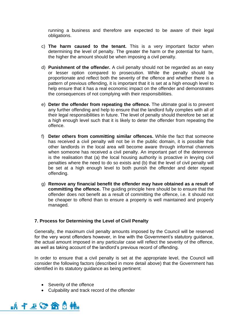running a business and therefore are expected to be aware of their legal obligations.

- c) **The harm caused to the tenant.** This is a very important factor when determining the level of penalty. The greater the harm or the potential for harm, the higher the amount should be when imposing a civil penalty.
- d) **Punishment of the offender.** A civil penalty should not be regarded as an easy or lesser option compared to prosecution. While the penalty should be proportionate and reflect both the severity of the offence and whether there is a pattern of previous offending, it is important that it is set at a high enough level to help ensure that it has a real economic impact on the offender and demonstrates the consequences of not complying with their responsibilities.
- e) **Deter the offender from repeating the offence.** The ultimate goal is to prevent any further offending and help to ensure that the landlord fully complies with all of their legal responsibilities in future. The level of penalty should therefore be set at a high enough level such that it is likely to deter the offender from repeating the offence.
- f) **Deter others from committing similar offences.** While the fact that someone has received a civil penalty will not be in the public domain, it is possible that other landlords in the local area will become aware through informal channels when someone has received a civil penalty. An important part of the deterrence is the realisation that (a) the local housing authority is proactive in levying civil penalties where the need to do so exists and (b) that the level of civil penalty will be set at a high enough level to both punish the offender and deter repeat offending.
- g) **Remove any financial benefit the offender may have obtained as a result of committing the offence.** The guiding principle here should be to ensure that the offender does not benefit as a result of committing the offence, i.e. it should not be cheaper to offend than to ensure a property is well maintained and properly managed.

#### **7. Process for Determining the Level of Civil Penalty**

Generally, the maximum civil penalty amounts imposed by the Council will be reserved for the very worst offenders however, in line with the Government's statutory guidance, the actual amount imposed in any particular case will reflect the severity of the offence, as well as taking account of the landlord's previous record of offending.

In order to ensure that a civil penalty is set at the appropriate level, the Council will consider the following factors (described in more detail above) that the Government has identified in its statutory guidance as being pertinent:

- Severity of the offence
- Culpability and track record of the offender

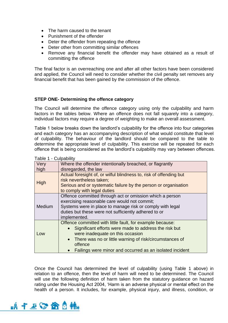- The harm caused to the tenant
- Punishment of the offender
- Deter the offender from repeating the offence
- Deter other from committing similar offences
- Remove any financial benefit the offender may have obtained as a result of committing the offence

The final factor is an overreaching one and after all other factors have been considered and applied, the Council will need to consider whether the civil penalty set removes any financial benefit that has been gained by the commission of the offence.

## **STEP ONE- Determining the offence category**

The Council will determine the offence category using only the culpability and harm factors in the tables below. Where an offence does not fall squarely into a category, individual factors may require a degree of weighting to make an overall assessment.

Table 1 below breaks down the landlord's culpability for the offence into four categories and each category has an accompanying description of what would constitute that level of culpability. The behaviour of the landlord should be compared to the table to determine the appropriate level of culpability. This exercise will be repeated for each offence that is being considered as the landlord's culpability may vary between offences.

| i uvivi i | <b>UUIDUUIIII</b>                                                                                                                                                                                                                                                                                                               |  |
|-----------|---------------------------------------------------------------------------------------------------------------------------------------------------------------------------------------------------------------------------------------------------------------------------------------------------------------------------------|--|
| Very      | Where the offender intentionally breached, or flagrantly                                                                                                                                                                                                                                                                        |  |
| high      | disregarded, the law                                                                                                                                                                                                                                                                                                            |  |
| High      | Actual foresight of, or wilful blindness to, risk of offending but<br>risk nevertheless taken;<br>Serious and or systematic failure by the person or organisation<br>to comply with legal duties                                                                                                                                |  |
| Medium    | Offence committed through act or omission which a person<br>exercising reasonable care would not commit;<br>Systems were in place to manage risk or comply with legal<br>duties but these were not sufficiently adhered to or<br>implemented.                                                                                   |  |
| Low       | Offence committed with little fault, for example because:<br>Significant efforts were made to address the risk but<br>$\bullet$<br>were inadequate on this occasion<br>There was no or little warning of risk/circumstances of<br>$\bullet$<br>offence<br>Failings were minor and occurred as an isolated incident<br>$\bullet$ |  |
|           |                                                                                                                                                                                                                                                                                                                                 |  |

Table 1 - Culpability

Once the Council has determined the level of culpability (using Table 1 above) in relation to an offence, then the level of harm will need to be determined. The Council will use the following definition of harm taken from the statutory guidance on hazard rating under the Housing Act 2004, 'Harm is an adverse physical or mental effect on the health of a person. It includes, for example, physical injury, and illness, condition, or

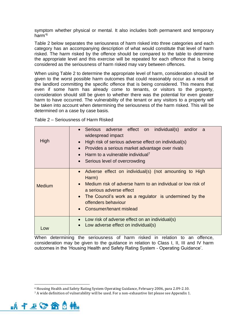symptom whether physical or mental. It also includes both permanent and temporary harm'<sup>6</sup>

Table 2 below separates the seriousness of harm risked into three categories and each category has an accompanying description of what would constitute that level of harm risked. The harm risked by the offence should be compared to the table to determine the appropriate level and this exercise will be repeated for each offence that is being considered as the seriousness of harm risked may vary between offences.

When using Table 2 to determine the appropriate level of harm, consideration should be given to the worst possible harm outcomes that could reasonably occur as a result of the landlord committing the specific offence that is being considered. This means that even if some harm has already come to tenants, or visitors to the property, consideration should still be given to whether there was the potential for even greater harm to have occurred. The vulnerability of the tenant or any visitors to a property will be taken into account when determining the seriousness of the harm risked. This will be determined on a case by case basis.

| High          | Serious adverse effect on individual(s)<br>and/or<br>a<br>widespread impact<br>High risk of serious adverse effect on individual(s)<br>Provides a serious market advantage over rivals<br>Harm to a vulnerable individual <sup>7</sup>                                              |  |
|---------------|-------------------------------------------------------------------------------------------------------------------------------------------------------------------------------------------------------------------------------------------------------------------------------------|--|
|               | Serious level of overcrowding<br>$\bullet$                                                                                                                                                                                                                                          |  |
| <b>Medium</b> | Adverse effect on individual(s) (not amounting to High<br>Harm)<br>Medium risk of adverse harm to an individual or low risk of<br>$\bullet$<br>a serious adverse effect<br>The Council's work as a regulator is undermined by the<br>offenders behaviour<br>Consumer/tenant mislead |  |
| l ow          | Low risk of adverse effect on an individual(s)<br>Low adverse effect on individual(s)<br>$\bullet$                                                                                                                                                                                  |  |

When determining the seriousness of harm risked in relation to an offence, consideration may be given to the guidance in relation to Class I, II, III and IV harm outcomes in the 'Housing Health and Safety Rating System - Operating Guidance'.

<sup>7</sup> A wide definition of vulnerability will be used. For a non-exhaustive list please see Appendix 1.



<sup>6</sup> Housing Health and Safety Rating System Operating Guidance, February 2006, para 2.09-2.10.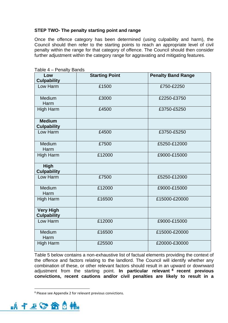# **STEP TWO- The penalty starting point and range**

Once the offence category has been determined (using culpability and harm), the Council should then refer to the starting points to reach an appropriate level of civil penalty within the range for that category of offence. The Council should then consider further adjustment within the category range for aggravating and mitigating features.

| , טווטוויט<br>טטו וט                   |                       |                           |  |  |
|----------------------------------------|-----------------------|---------------------------|--|--|
| Low<br><b>Culpability</b>              | <b>Starting Point</b> | <b>Penalty Band Range</b> |  |  |
| Low Harm                               | £1500                 | £750-£2250                |  |  |
| Medium<br>Harm                         | £3000                 | £2250-£3750               |  |  |
| <b>High Harm</b>                       | £4500                 | £3750-£5250               |  |  |
| <b>Medium</b><br><b>Culpability</b>    |                       |                           |  |  |
| Low Harm                               | £4500                 | £3750-£5250               |  |  |
| Medium<br>Harm                         | £7500                 | £5250-£12000              |  |  |
| <b>High Harm</b>                       | £12000                | £9000-£15000              |  |  |
| <b>High</b><br><b>Culpability</b>      |                       |                           |  |  |
| Low Harm                               | £7500                 | £5250-£12000              |  |  |
| Medium<br>Harm                         | £12000                | £9000-£15000              |  |  |
| High Harm                              | £16500                | £15000-£20000             |  |  |
| <b>Very High</b><br><b>Culpability</b> |                       |                           |  |  |
| Low Harm                               | £12000                | £9000-£15000              |  |  |
| Medium<br>Harm                         | £16500                | £15000-£20000             |  |  |
| <b>High Harm</b>                       | £25500                | £20000-£30000             |  |  |

Table 4 – Penalty Bands

Table 5 below contains a non-exhaustive list of factual elements providing the context of the offence and factors relating to the landlord. The Council will identify whether any combination of these, or other relevant factors should result in an upward or downward adjustment from the starting point. **In particular relevant <sup>8</sup> recent previous convictions, recent cautions and/or civil penalties are likely to result in a** 

<sup>8</sup> Please see Appendix 2 for relevant previous convictions.

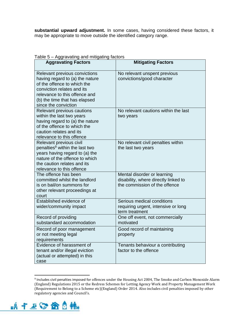**substantial upward adjustment.** In some cases, having considered these factors, it may be appropriate to move outside the identified category range.

| $\alpha$ able $\beta$ $-$ Aggravating and mitigating factors<br><b>Aggravating Factors</b>                                                                                                                              | <b>Mitigating Factors</b>                                                                            |
|-------------------------------------------------------------------------------------------------------------------------------------------------------------------------------------------------------------------------|------------------------------------------------------------------------------------------------------|
| Relevant previous convictions<br>having regard to (a) the nature<br>of the offence to which the<br>conviction relates and its<br>relevance to this offence and<br>(b) the time that has elapsed<br>since the conviction | No relevant unspent previous<br>convictions/good character                                           |
| Relevant previous cautions<br>within the last two years<br>having regard to (a) the nature<br>of the offence to which the<br>caution relates and its<br>relevance to this offence                                       | No relevant cautions within the last<br>two years                                                    |
| Relevant previous civil<br>penalties <sup>9</sup> within the last two<br>years having regard to (a) the<br>nature of the offence to which<br>the caution relates and its<br>relevance to this offence                   | No relevant civil penalties within<br>the last two years                                             |
| The offence has been<br>committed whilst the landlord<br>is on bail/on summons for<br>other relevant proceedings at<br>court                                                                                            | Mental disorder or learning<br>disability, where directly linked to<br>the commission of the offence |
| Established evidence of<br>wider/community impact                                                                                                                                                                       | Serious medical conditions<br>requiring urgent, intensive or long<br>term treatment                  |
| Record of providing<br>substandard accommodation                                                                                                                                                                        | One off event, not commercially<br>motivated                                                         |
| Record of poor management<br>or not meeting legal<br>requirements                                                                                                                                                       | Good record of maintaining<br>property                                                               |
| Evidence of harassment of<br>tenant and/or illegal eviction<br>(actual or attempted) in this<br>case                                                                                                                    | Tenants behaviour a contributing<br>factor to the offence                                            |

#### Table 5 – Aggravating and mitigating factors

<sup>9</sup> Includes civil penalties imposed for offences under the Housing Act 2004, The Smoke and Carbon Monoxide Alarm (England) Regulations 2015 or the Redress Schemes for Letting Agency Work and Property Management Work (Requirement to Belong to a Scheme etc)(England) Order 2014. Also includes civil penalties imposed by other regulatory agencies and Council's.

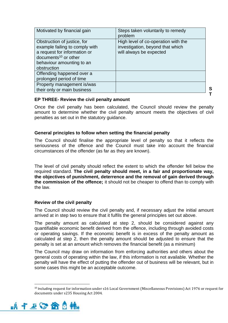| Motivated by financial gain                                                                                                                                                   | Steps taken voluntarily to remedy<br>problem                                                       |
|-------------------------------------------------------------------------------------------------------------------------------------------------------------------------------|----------------------------------------------------------------------------------------------------|
| Obstruction of justice, for<br>example failing to comply with<br>a request for information or<br>documents <sup>10</sup> or other<br>behaviour amounting to an<br>obstruction | High level of co-operation with the<br>investigation, beyond that which<br>will always be expected |
| Offending happened over a<br>prolonged period of time                                                                                                                         |                                                                                                    |
| Property management is/was<br>their only or main business                                                                                                                     |                                                                                                    |

#### **EP THREE- Review the civil penalty amount**

Once the civil penalty has been calculated, the Council should review the penalty amount to determine whether the civil penalty amount meets the objectives of civil penalties as set out in the statutory guidance.

**S T**

#### **General principles to follow when setting the financial penalty**

The Council should finalise the appropriate level of penalty so that it reflects the seriousness of the offence and the Council must take into account the financial circumstances of the offender (as far as they are known).

The level of civil penalty should reflect the extent to which the offender fell below the required standard. **The civil penalty should meet, in a fair and proportionate way, the objectives of punishment, deterrence and the removal of gain derived through the commission of the offence;** it should not be cheaper to offend than to comply with the law.

#### **Review of the civil penalty**

The Council should review the civil penalty and, if necessary adjust the initial amount arrived at in step two to ensure that it fulfils the general principles set out above.

The penalty amount as calculated at step 2, should be considered against any quantifiable economic benefit derived from the offence, including through avoided costs or operating savings. If the economic benefit is in excess of the penalty amount as calculated at step 2, then the penalty amount should be adjusted to ensure that the penalty is set at an amount which removes the financial benefit (as a minimum)

The Council may draw on information from enforcing authorities and others about the general costs of operating within the law, if this information is not available. Whether the penalty will have the effect of putting the offender out of business will be relevant, but in some cases this might be an acceptable outcome.

<sup>10</sup> Including request for information under s16 Local Government (Miscellaneous Provisions) Act 1976 or request for documents under s235 Housing Act 2004.

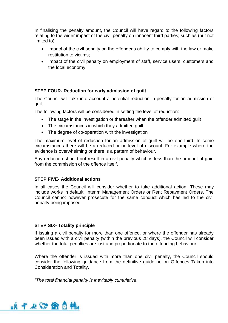In finalising the penalty amount, the Council will have regard to the following factors relating to the wider impact of the civil penalty on innocent third parties; such as (but not limited to);

- Impact of the civil penalty on the offender's ability to comply with the law or make restitution to victims;
- Impact of the civil penalty on employment of staff, service users, customers and the local economy.

## **STEP FOUR- Reduction for early admission of guilt**

The Council will take into account a potential reduction in penalty for an admission of guilt.

The following factors will be considered in setting the level of reduction:

- The stage in the investigation or thereafter when the offender admitted guilt
- The circumstances in which they admitted quilt
- The degree of co-operation with the investigation

The maximum level of reduction for an admission of guilt will be one-third. In some circumstances there will be a reduced or no level of discount. For example where the evidence is overwhelming or there is a pattern of behaviour.

Any reduction should not result in a civil penalty which is less than the amount of gain from the commission of the offence itself.

#### **STEP FIVE- Additional actions**

In all cases the Council will consider whether to take additional action. These may include works in default, Interim Management Orders or Rent Repayment Orders. The Council cannot however prosecute for the same conduct which has led to the civil penalty being imposed.

#### **STEP SIX- Totality principle**

If issuing a civil penalty for more than one offence, or where the offender has already been issued with a civil penalty (within the previous 28 days), the Council will consider whether the total penalties are just and proportionate to the offending behaviour.

Where the offender is issued with more than one civil penalty, the Council should consider the following guidance from the definitive guideline on Offences Taken into Consideration and Totality.

"*The total financial penalty is inevitably cumulative.*

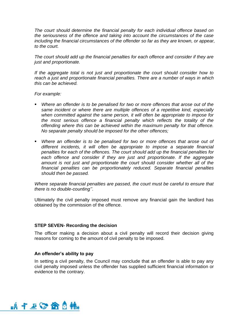*The court should determine the financial penalty for each individual offence based on the seriousness of the offence and taking into account the circumstances of the case including the financial circumstances of the offender so far as they are known, or appear, to the court.*

*The court should add up the financial penalties for each offence and consider if they are just and proportionate.*

*If the aggregate total is not just and proportionate the court should consider how to reach a just and proportionate financial penalties. There are a number of ways in which this can be achieved.*

*For example:*

- Where an offender is to be penalised for two or more offences that arose out of the *same incident or where there are multiple offences of a repetitive kind, especially when committed against the same person, it will often be appropriate to impose for the most serious offence a financial penalty which reflects the totality of the offending where this can be achieved within the maximum penalty for that offence. No separate penalty should be imposed for the other offences;*
- **■** Where an offender is to be penalised for two or more offences that arose out of *different incidents, it will often be appropriate to impose a separate financial penalties for each of the offences. The court should add up the financial penalties for*  each offence and consider if they are just and proportionate. If the aggregate *amount is not just and proportionate the court should consider whether all of the financial penalties can be proportionately reduced. Separate financial penalties should then be passed.*

*Where separate financial penalties are passed, the court must be careful to ensure that there is no double-counting''*.

Ultimately the civil penalty imposed must remove any financial gain the landlord has obtained by the commission of the offence.

#### **STEP SEVEN- Recording the decision**

The officer making a decision about a civil penalty will record their decision giving reasons for coming to the amount of civil penalty to be imposed.

#### **An offender's ability to pay**

In setting a civil penalty, the Council may conclude that an offender is able to pay any civil penalty imposed unless the offender has supplied sufficient financial information or evidence to the contrary.

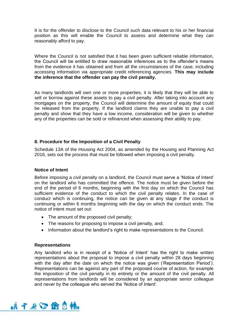It is for the offender to disclose to the Council such data relevant to his or her financial position as this will enable the Council to assess and determine what they can reasonably afford to pay.

Where the Council is not satisfied that it has been given sufficient reliable information, the Council will be entitled to draw reasonable inferences as to the offender's means from the evidence it has obtained and from all the circumstances of the case, including accessing information via appropriate credit referencing agencies. **This may include the inference that the offender can pay the civil penalty.** 

As many landlords will own one or more properties, it is likely that they will be able to sell or borrow against these assets to pay a civil penalty. After taking into account any mortgages on the property, the Council will determine the amount of equity that could be released from the property. If the landlord claims they are unable to pay a civil penalty and show that they have a low income, consideration will be given to whether any of the properties can be sold or refinanced when assessing their ability to pay.

## **8. Procedure for the Imposition of a Civil Penalty**

Schedule 13A of the Housing Act 2004, as amended by the Housing and Planning Act 2016, sets out the process that must be followed when imposing a civil penalty.

#### **Notice of Intent**

Before imposing a civil penalty on a landlord, the Council must serve a 'Notice of Intent' on the landlord who has committed the offence. The notice must be given before the end of the period of 6 months, beginning with the first day on which the Council has sufficient evidence of the conduct to which the civil penalty relates. In the case of conduct which is continuing, the notice can be given at any stage if the conduct is continuing or within 6 months beginning with the day on which the conduct ends. The notice of intent must set out:

- The amount of the proposed civil penalty;
- The reasons for proposing to impose a civil penalty, and;
- Information about the landlord's right to make representations to the Council.

#### **Representations**

Any landlord who is in receipt of a 'Notice of Intent' has the right to make written representations about the proposal to impose a civil penalty within 28 days beginning with the day after the date on which the notice was given ('Representation Period'). Representations can be against any part of the proposed course of action, for example the imposition of the civil penalty in its entirety or the amount of the civil penalty. All representations from landlords will be considered by an appropriate senior colleague and never by the colleague who served the 'Notice of Intent'.

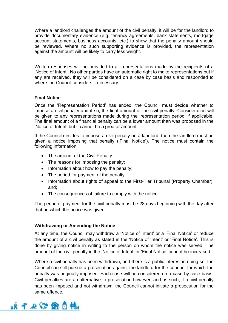Where a landlord challenges the amount of the civil penalty, it will be for the landlord to provide documentary evidence (e.g. tenancy agreements, bank statements, mortgage account statements, business accounts, etc.) to show that the penalty amount should be reviewed. Where no such supporting evidence is provided, the representation against the amount will be likely to carry less weight.

Written responses will be provided to all representations made by the recipients of a 'Notice of Intent'. No other parties have an automatic right to make representations but if any are received, they will be considered on a case by case basis and responded to where the Council considers it necessary.

## **Final Notice**

Once the 'Representation Period' has ended, the Council must decide whether to impose a civil penalty and if so, the final amount of the civil penalty. Consideration will be given to any representations made during the 'representation period' if applicable. The final amount of a financial penalty can be a lower amount than was proposed in the 'Notice of Intent' but it cannot be a greater amount.

If the Council decides to impose a civil penalty on a landlord, then the landlord must be given a notice imposing that penalty ('Final Notice'). The notice must contain the following information:

- The amount of the Civil Penalty
- The reasons for imposing the penalty;
- Information about how to pay the penalty;
- The period for payment of the penalty;
- Information about rights of appeal to the First-Tier Tribunal (Property Chamber), and;
- The consequences of failure to comply with the notice.

The period of payment for the civil penalty must be 28 days beginning with the day after that on which the notice was given.

#### **Withdrawing or Amending the Notice**

At any time, the Council may withdraw a 'Notice of Intent' or a 'Final Notice' or reduce the amount of a civil penalty as stated in the 'Notice of Intent' or 'Final Notice'. This is done by giving notice in writing to the person on whom the notice was served. The amount of the civil penalty in the 'Notice of Intent' or 'Final Notice' cannot be increased.

Where a civil penalty has been withdrawn, and there is a public interest in doing so, the Council can still pursue a prosecution against the landlord for the conduct for which the penalty was originally imposed. Each case will be considered on a case by case basis. Civil penalties are an alternative to prosecution however, and as such, if a civil penalty has been imposed and not withdrawn, the Council cannot initiate a prosecution for the same offence.

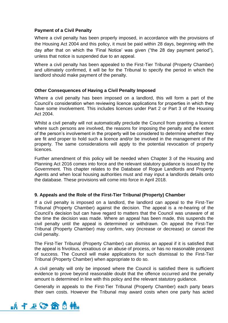## **Payment of a Civil Penalty**

Where a civil penalty has been properly imposed, in accordance with the provisions of the Housing Act 2004 and this policy, it must be paid within 28 days, beginning with the day after that on which the 'Final Notice' was given ("the 28 day payment period"), unless that notice is suspended due to an appeal.

Where a civil penalty has been appealed to the First-Tier Tribunal (Property Chamber) and ultimately confirmed, it will be for the Tribunal to specify the period in which the landlord should make payment of the penalty.

## **Other Consequences of Having a Civil Penalty Imposed**

Where a civil penalty has been imposed on a landlord, this will form a part of the Council's consideration when reviewing licence applications for properties in which they have some involvement. This includes licences under Part 2 or Part 3 of the Housing Act 2004.

Whilst a civil penalty will not automatically preclude the Council from granting a licence where such persons are involved, the reasons for imposing the penalty and the extent of the person's involvement in the property will be considered to determine whether they are fit and proper to hold such a licence and/or be involved in the management of the property. The same considerations will apply to the potential revocation of property licences.

Further amendment of this policy will be needed when Chapter 3 of the Housing and Planning Act 2016 comes into force and the relevant statutory guidance is issued by the Government. This chapter relates to the Database of Rogue Landlords and Property Agents and when local housing authorities must and may input a landlords details onto the database. These provisions will come into force in April 2018.

## **9. Appeals and the Role of the First-Tier Tribunal (Property) Chamber**

If a civil penalty is imposed on a landlord, the landlord can appeal to the First-Tier Tribunal (Property Chamber) against the decision. The appeal is a re-hearing of the Council's decision but can have regard to matters that the Council was unaware of at the time the decision was made. Where an appeal has been made, this suspends the civil penalty until the appeal is determined or withdrawn. On appeal the First-Tier Tribunal (Property Chamber) may confirm, vary (increase or decrease) or cancel the civil penalty.

The First-Tier Tribunal (Property Chamber) can dismiss an appeal if it is satisfied that the appeal is frivolous, vexatious or an abuse of process, or has no reasonable prospect of success. The Council will make applications for such dismissal to the First-Tier Tribunal (Property Chamber) when appropriate to do so.

A civil penalty will only be imposed where the Council is satisfied there is sufficient evidence to prove beyond reasonable doubt that the offence occurred and the penalty amount is determined in line with this policy and the relevant statutory guidance.

Generally in appeals to the First-Tier Tribunal (Property Chamber) each party bears their own costs. However the Tribunal may award costs when one party has acted

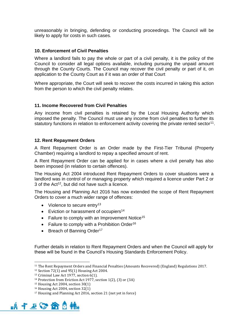unreasonably in bringing, defending or conducting proceedings. The Council will be likely to apply for costs in such cases.

#### **10. Enforcement of Civil Penalties**

Where a landlord fails to pay the whole or part of a civil penalty, it is the policy of the Council to consider all legal options available, including pursuing the unpaid amount through the County Courts. The Council may recover the civil penalty or part of it, on application to the County Court as if it was an order of that Court

Where appropriate, the Court will seek to recover the costs incurred in taking this action from the person to which the civil penalty relates.

#### **11. Income Recovered from Civil Penalties**

Any income from civil penalties is retained by the Local Housing Authority which imposed the penalty. The Council must use any income from civil penalties to further its statutory functions in relation to enforcement activity covering the private rented sector<sup>11</sup>.

## **12. Rent Repayment Orders**

A Rent Repayment Order is an Order made by the First-Tier Tribunal (Property Chamber) requiring a landlord to repay a specified amount of rent.

A Rent Repayment Order can be applied for in cases where a civil penalty has also been imposed (in relation to certain offences).

The Housing Act 2004 introduced Rent Repayment Orders to cover situations were a landlord was in control of or managing property which required a licence under Part 2 or  $3$  of the Act<sup>12</sup>, but did not have such a licence.

The Housing and Planning Act 2016 has now extended the scope of Rent Repayment Orders to cover a much wider range of offences:

- Violence to secure entry<sup>13</sup>
- Eviction or harassment of occupiers<sup>14</sup>
- Failure to comply with an Improvement Notice<sup>15</sup>
- Failure to comply with a Prohibition Order<sup>16</sup>
- Breach of Banning Order<sup>17</sup>

Further details in relation to Rent Repayment Orders and when the Council will apply for these will be found in the Council's Housing Standards Enforcement Policy.

<sup>17</sup> Housing and Planning Act 2016, section 21 (not yet in force)



<sup>11</sup> The Rent Repayment Orders and Financial Penalties (Amounts Recovered) (England) Regulations 2017.

<sup>12</sup> Section 72(1) and 95(1) Housing Act 2004.

<sup>13</sup> Criminal Law Act 1977, section 6(1).

<sup>14</sup> Protection from Eviction Act 1977, section 1(2), (3) or (3A)

<sup>15</sup> Housing Act 2004, section 30(1)

<sup>16</sup> Housing Act 2004, section 32(1)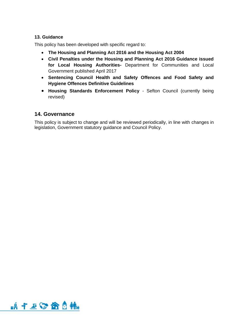# **13. Guidance**

This policy has been developed with specific regard to:

- **The Housing and Planning Act 2016 and the Housing Act 2004**
- **Civil Penalties under the Housing and Planning Act 2016 Guidance issued for Local Housing Authorities-** Department for Communities and Local Government published April 2017
- **Sentencing Council Health and Safety Offences and Food Safety and Hygiene Offences Definitive Guidelines**
- **Housing Standards Enforcement Policy** Sefton Council (currently being revised)

# **14. Governance**

This policy is subject to change and will be reviewed periodically, in line with changes in legislation, Government statutory guidance and Council Policy.